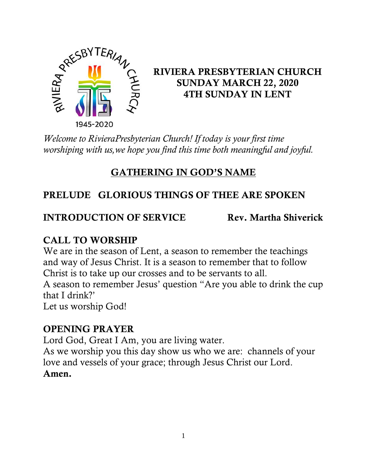

# RIVIERA PRESBYTERIAN CHURCH SUNDAY MARCH 22, 2020 4TH SUNDAY IN LENT

*Welcome to RivieraPresbyterian Church! If today is your first time worshiping with us,we hope you find this time both meaningful and joyful.*

# GATHERING IN GOD'S NAME

# PRELUDE GLORIOUS THINGS OF THEE ARE SPOKEN

## **INTRODUCTION OF SERVICE Rev. Martha Shiverick**

# CALL TO WORSHIP

We are in the season of Lent, a season to remember the teachings and way of Jesus Christ. It is a season to remember that to follow Christ is to take up our crosses and to be servants to all.

A season to remember Jesus' question "Are you able to drink the cup that I drink?'

Let us worship God!

# OPENING PRAYER

Lord God, Great I Am, you are living water.

As we worship you this day show us who we are: channels of your love and vessels of your grace; through Jesus Christ our Lord.

### Amen.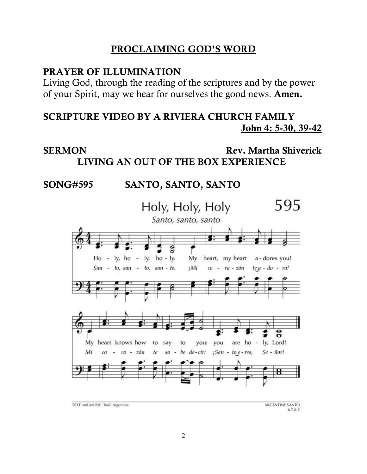#### PROCLAIMING GOD'S WORD

#### PRAYER OF ILLUMINATION

Living God, through the reading of the scriptures and by the power of your Spirit, may we hear for ourselves the good news. Amen.

#### SCRIPTURE VIDEO BY A RIVIERA CHURCH FAMILY John 4: 5-30, [39-42](https://www.biblegateway.com/passage/?search=John+4%3A5-30%2CJohn+4%3A39-42&version=NRSV)

## SERMON Rev. Martha Shiverick LIVING AN OUT OF THE BOX EXPERIENCE

#### SONG#595 SANTO, SANTO, SANTO



TEXT and MUSIC: Trad. Argentine

ARGENTINE SANTO 6.7.8.5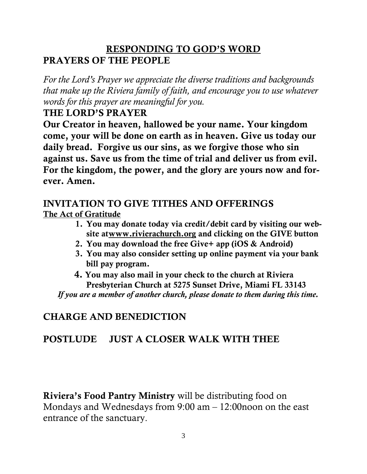## RESPONDING TO GOD'S WORD PRAYERS OF THE PEOPLE

*For the Lord's Prayer we appreciate the diverse traditions and backgrounds that make up the Riviera family of faith, and encourage you to use whatever words for this prayer are meaningful for you.*

#### THE LORD'S PRAYER

Our Creator in heaven, hallowed be your name. Your kingdom come, your will be done on earth as in heaven. Give us today our daily bread. Forgive us our sins, as we forgive those who sin against us. Save us from the time of trial and deliver us from evil. For the kingdom, the power, and the glory are yours now and forever. Amen.

#### INVITATION TO GIVE TITHES AND OFFERINGS The Act of Gratitude

- 1. You may donate today via credit/debit card by visiting our website a[twww.rivierachurch.org](http://www.rivierachurch.org/) and clicking on the GIVE button
- 2. You may download the free Give+ app (iOS & Android)
- 3. You may also consider setting up online payment via your bank bill pay program.
- 4. You may also mail in your check to the church at Riviera Presbyterian Church at 5275 Sunset Drive, Miami FL 33143  *If you are a member of another church, please donate to them during this time.*

# CHARGE AND BENEDICTION

# POSTLUDE JUST A CLOSER WALK WITH THEE

Riviera's Food Pantry Ministry will be distributing food on Mondays and Wednesdays from 9:00 am – 12:00noon on the east entrance of the sanctuary.